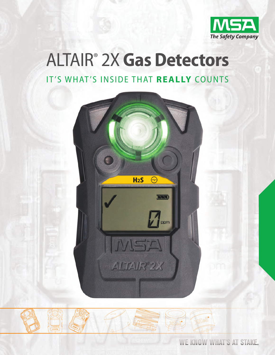

# **ALTAIR® 2X Gas Detectors** IT'S WHAT'S INSIDE THAT REALLY COUNTS





WE KNOW WHAT'S AT STAKE.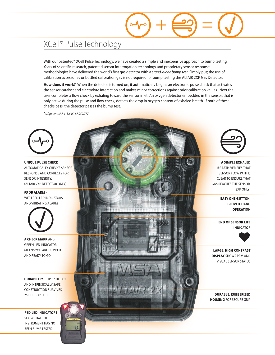# XCell<sup>®</sup> Pulse Technology

With our patented\* XCell Pulse Technology, we have created a simple and inexpensive approach to bump testing. Years of scientific research, patented sensor interrogation technology and proprietary sensor response methodologies have delivered the world's first gas detector with a stand-alone bump test. Simply put; the use of calibration accessories or bottled calibration gas is not required for bump testing the ALTAIR 2XP Gas Detector.

How does it work? When the detector is turned on, it automatically begins an electronic pulse check that activates the sensor catalyst and electrolyte interaction and makes minor corrections against prior calibration values. Next the user completes a flow check by exhaling toward the sensor inlet. An oxygen detector embedded in the sensor, that is only active during the pulse and flow check, detects the drop in oxygen content of exhaled breath. If both of these checks pass, the detector passes the bump test.

\*US patents # 7,413,645: #7,959,777



**UNIQUE PULSE CHECK AUTOMATICALLY CHECKS SENSOR RESPONSE AND CORRECTS FOR** SENSOR INTEGRITY. (ALTAIR 2XP DETECTOR ONLY)

95 DB ALARM -WITH RED LED INDICATORS AND VIBRATING ALARM



A CHECK MARK AND **GREEN LED INDICATOR MEANS YOU ARE BUMPED** AND READY TO GO

**DURABILITY** - IP 67 DESIGN AND INTRINSICALLY SAFE **CONSTRUCTION SURVIVES** 25 FT DROP TEST

**RED LED INDICATORS SHOW THAT THE INSTRUMENT HAS NOT BEEN BUMP TESTED** 



A SIMPLE EXHALED **BREATH VERIFIES THAT SENSOR FLOW PATH IS CLEAR TO ENSURE THAT GAS REACHES THE SENSOR.** (2XP ONLY)

> **EASY ONE-BUTTON, GLOVED-HAND OPERATION**

**END OF SENSOR LIFE INDICATOR** 



**LARGE, HIGH CONTRAST DISPLAY SHOWS PPM AND VISUAL SENSOR STATUS** 

**DURABLE, RUBBERIZED HOUSING FOR SECURE GRIP**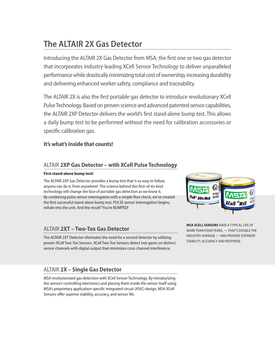# **The ALTAIR 2X Gas Detector**

Introducing the ALTAIR 2X Gas Detector from MSA; the first one or two gas detector that incorporates industry-leading XCell Sensor Technology to deliver unparalleled performance while drastically minimizing total cost of ownership, increasing durability and delivering enhanced worker safety, compliance and traceability.

The ALTAIR 2X is also the first portable gas detector to introduce revolutionary XCell pulse technology. based on proven science and advanced patented sensor capabilities, the ALTAIR 2XP Detector delivers the world's first stand-alone bump test. This allows a daily bump test to be performed without the need for calibration accessories or specific calibration gas.

# **It's what's inside that counts!**

### altair **2xP Gas Detector – with xCell Pulse Technology**

#### **First stand-alone bump test!**

The ALTAIR 2XP Gas Detector provides a bump test that is so easy to follow, anyone can do it, from anywhere! The science behind this first-of-its-kind technology will change the face of portable gas detection as we know it. by combining pulse sensor interrogation with a simple flow check, we've created the first successful stand-alone bump test. pulSE sensor interrogation begins, exhale into the unit. And the result? You're BUMPED!

# altair **2xT – Two-Tox Gas Detector**

The ALTAIR 2XT Detector eliminates the need for a second detector by utilizing proven XCell Two-Tox Sensors. XCell Two-Tox Sensors detect two gases on distinct sensor channels with digital output that minimizes cross channel interference.



**mSA xCELL SENSORS** HavE a tYpical liFE OF mOrE tHan FOur YEarS, — tHat'S dOublE tHE induStrY avEragE — and prOvidE SupEriOr StabilitY, accuracY and rESpOnSE.

# altair **2x – Single Gas Detector**

MSA revolutionized gas detection with XCell Sensor Technology. By miniaturizing the sensors' controlling electronics and placing them inside the sensor itself using mSa's proprietary application-specific integrated circuit (aSic) design, mSa Xcell Sensors offer superior stability, accuracy, and sensor life.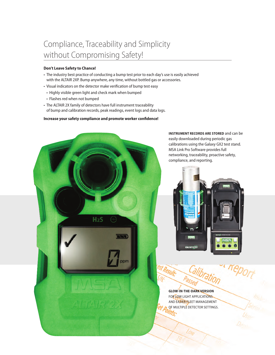# Compliance, Traceability and Simplicity without Compromising Safety!

#### **Don't Leave Safety to Chance!**

- The industry best practice of conducting a bump test prior to each day's use is easily achieved with the ALTAIR 2XP. Bump anywhere, any time, without bottled gas or accessories.
- visual indicators on the detector make verification of bump test easy
	- Highly visible green light and check mark when bumped
	- Flashes red when not bumped
- The ALTAIR 2X family of detectors have full instrument traceability of bump and calibration records, peak readings, event logs and data logs.

#### **Increase your safety compliance and promote worker confidence!**



**INSTRUmENT RECORDS ARE STORED** and can be easily downloaded during periodic gas calibrations using the Galaxy GX2 test stand. mSa link pro Software provides full networking, traceability, proactive safety, compliance, and reporting.



**Kepol** Calibration st Result:

**GLOW-IN-THE-DARk vERSION** FOR LOW LIGHT APPLICATIONS and EaSiEr FlEEt managEmEnt OF multiplE dEtEctOr SEttingS.71 c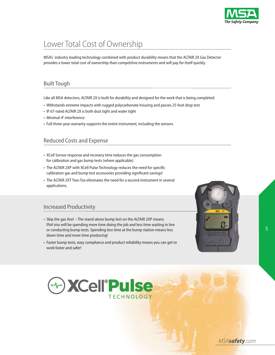

# Lower Total Cost of Ownership

MSA's industry leading technology combined with product durability means that the ALTAIR 2X Gas Detector provides a lower total cost of ownership than competitive instruments and will pay for itself quickly.

### **Built Tough**

Like all MSA detectors, ALTAIR 2X is built for durability and designed for the work that is being completed.

- Withstands extreme impacts with rugged polycarbonate housing and passes 25-foot drop test
- IP 67-rated ALTAIR 2X is both dust tight and water tight
- Minimal rF interference
- Full three-year warranty supports the entire instrument, including the sensors.

### **Reduced Costs and Expense**

- Xcell Sensor response and recovery time reduces the gas consumption for calibration and gas bump tests (where applicable).
- $\bm{\cdot}$  The ALTAIR 2XP with XCell Pulse Technology reduces the need for specific calibration gas and bump test accessories providing significant savings!
- $\bm{\cdot}$  The ALTAIR 2XT Two-Tox eliminates the need for a second instrument in several applications.

### increased productivity

- Skip the gas line! The stand-alone bump test on the ALTAIR 2XP means that you will be spending more time doing the job and less time waiting in line or conducting bump tests. Spending less time at the bump station means less down time and more time producing!
- Faster bump tests, easy compliance and product reliability means you can get to work faster and safer!





5